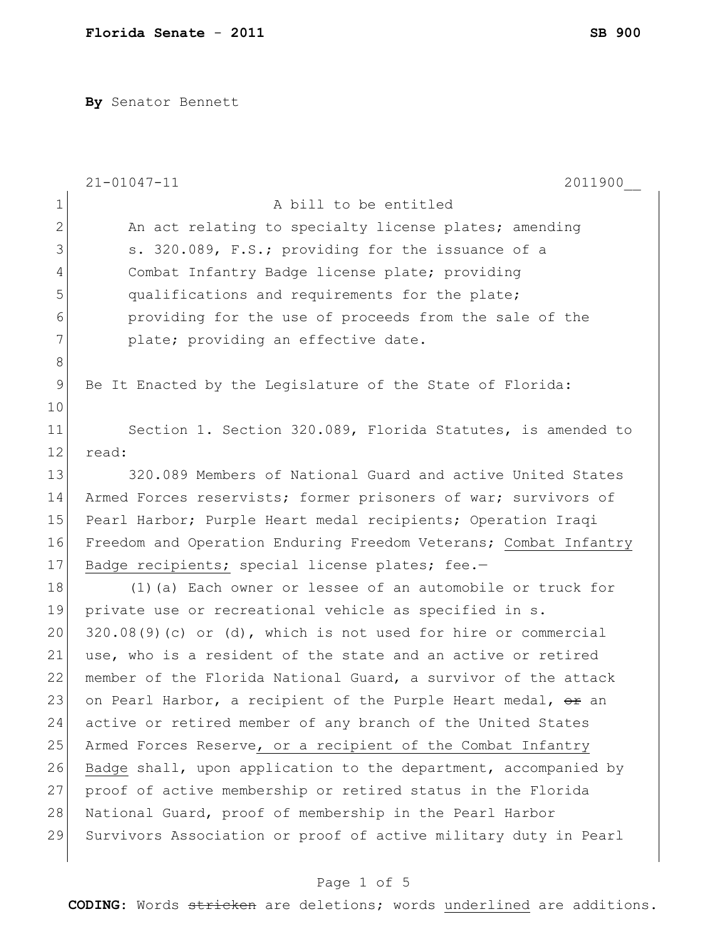**By** Senator Bennett

|               | $21 - 01047 - 11$<br>2011900                                             |  |  |  |  |
|---------------|--------------------------------------------------------------------------|--|--|--|--|
| $\mathbf 1$   | A bill to be entitled                                                    |  |  |  |  |
| $\mathbf{2}$  | An act relating to specialty license plates; amending                    |  |  |  |  |
| 3             | s. 320.089, F.S.; providing for the issuance of a                        |  |  |  |  |
| 4             | Combat Infantry Badge license plate; providing                           |  |  |  |  |
| 5             | qualifications and requirements for the plate;                           |  |  |  |  |
| 6             | providing for the use of proceeds from the sale of the                   |  |  |  |  |
| 7             | plate; providing an effective date.                                      |  |  |  |  |
| 8             |                                                                          |  |  |  |  |
| $\mathcal{G}$ | Be It Enacted by the Legislature of the State of Florida:                |  |  |  |  |
| 10            |                                                                          |  |  |  |  |
| 11            | Section 1. Section 320.089, Florida Statutes, is amended to              |  |  |  |  |
| 12            | read:                                                                    |  |  |  |  |
| 13            | 320.089 Members of National Guard and active United States               |  |  |  |  |
| 14            | Armed Forces reservists; former prisoners of war; survivors of           |  |  |  |  |
| 15            | Pearl Harbor; Purple Heart medal recipients; Operation Iraqi             |  |  |  |  |
| 16            | Freedom and Operation Enduring Freedom Veterans; Combat Infantry         |  |  |  |  |
| 17            | Badge recipients; special license plates; fee.-                          |  |  |  |  |
| 18            | (1) (a) Each owner or lessee of an automobile or truck for               |  |  |  |  |
| 19            | private use or recreational vehicle as specified in s.                   |  |  |  |  |
| 20            | $320.08(9)$ (c) or (d), which is not used for hire or commercial         |  |  |  |  |
| 21            | use, who is a resident of the state and an active or retired             |  |  |  |  |
| 22            | member of the Florida National Guard, a survivor of the attack           |  |  |  |  |
| 23            | on Pearl Harbor, a recipient of the Purple Heart medal, <del>or</del> an |  |  |  |  |
| 24            | active or retired member of any branch of the United States              |  |  |  |  |
| 25            | Armed Forces Reserve, or a recipient of the Combat Infantry              |  |  |  |  |
| 26            | Badge shall, upon application to the department, accompanied by          |  |  |  |  |
| 27            | proof of active membership or retired status in the Florida              |  |  |  |  |
| 28            | National Guard, proof of membership in the Pearl Harbor                  |  |  |  |  |
| 29            | Survivors Association or proof of active military duty in Pearl          |  |  |  |  |
|               |                                                                          |  |  |  |  |

## Page 1 of 5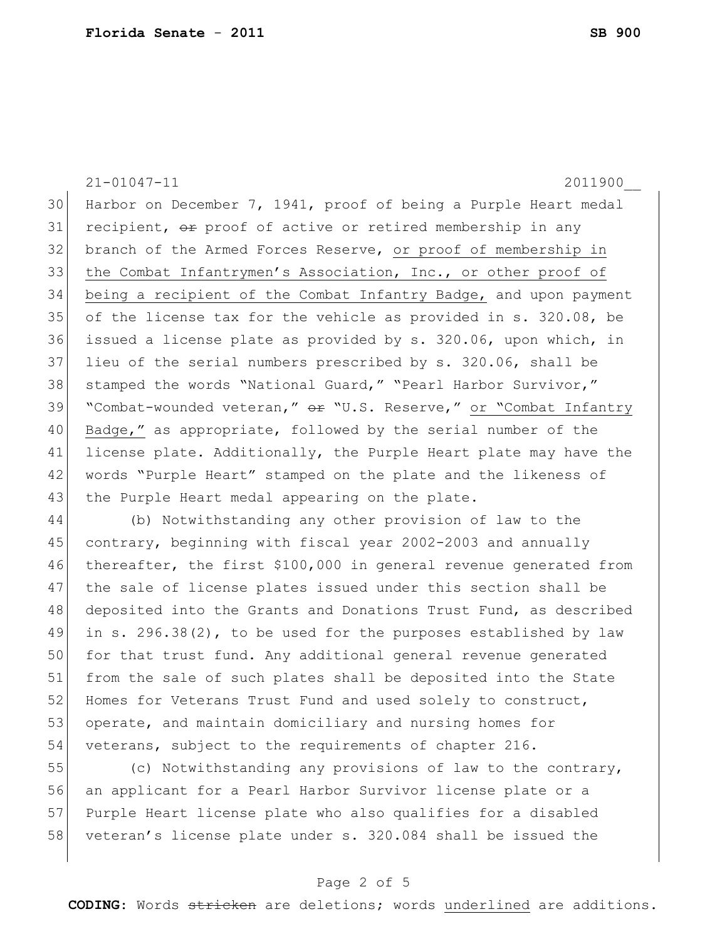21-01047-11 2011900\_\_ 30 Harbor on December 7, 1941, proof of being a Purple Heart medal 31 recipient, or proof of active or retired membership in any 32 branch of the Armed Forces Reserve, or proof of membership in 33 the Combat Infantrymen's Association, Inc., or other proof of 34 being a recipient of the Combat Infantry Badge, and upon payment 35 of the license tax for the vehicle as provided in s. 320.08, be 36 issued a license plate as provided by s. 320.06, upon which, in 37 lieu of the serial numbers prescribed by s. 320.06, shall be 38 stamped the words "National Guard," "Pearl Harbor Survivor," 39 "Combat-wounded veteran," or "U.S. Reserve," or "Combat Infantry 40 Badge," as appropriate, followed by the serial number of the 41 license plate. Additionally, the Purple Heart plate may have the 42 | words "Purple Heart" stamped on the plate and the likeness of 43 the Purple Heart medal appearing on the plate. 44 (b) Notwithstanding any other provision of law to the

45 contrary, beginning with fiscal year 2002-2003 and annually 46 thereafter, the first \$100,000 in general revenue generated from 47 the sale of license plates issued under this section shall be 48 deposited into the Grants and Donations Trust Fund, as described 49 in s. 296.38(2), to be used for the purposes established by law 50 for that trust fund. Any additional general revenue generated 51 from the sale of such plates shall be deposited into the State 52 Homes for Veterans Trust Fund and used solely to construct, 53 operate, and maintain domiciliary and nursing homes for 54 veterans, subject to the requirements of chapter 216.

55 (c) Notwithstanding any provisions of law to the contrary, 56 an applicant for a Pearl Harbor Survivor license plate or a 57 Purple Heart license plate who also qualifies for a disabled 58 veteran's license plate under s. 320.084 shall be issued the

## Page 2 of 5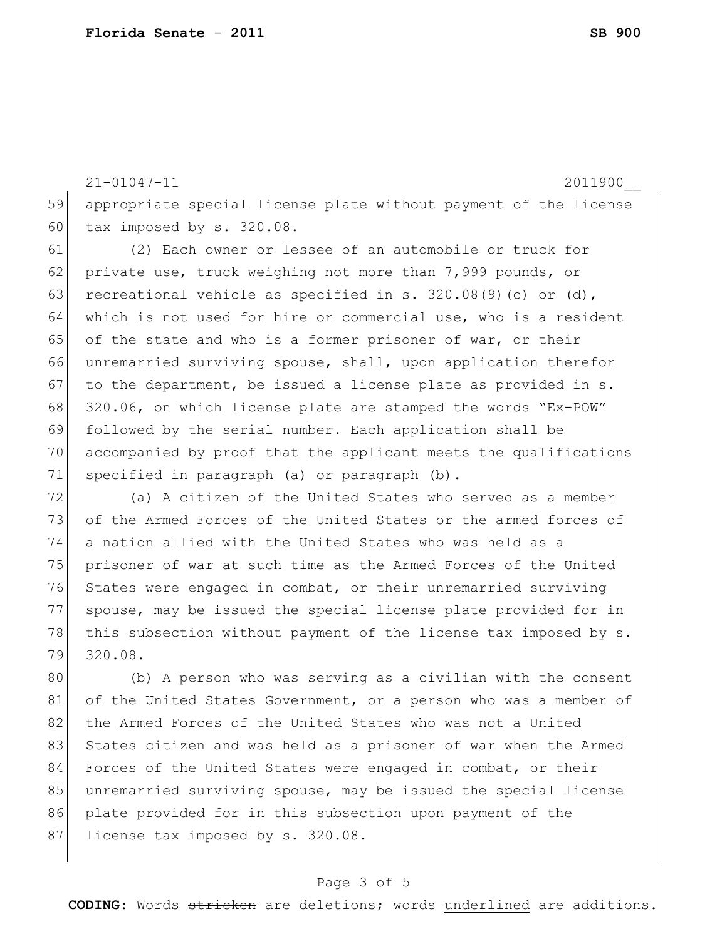21-01047-11 2011900\_\_ 59 appropriate special license plate without payment of the license 60 tax imposed by s. 320.08. 61 (2) Each owner or lessee of an automobile or truck for 62 private use, truck weighing not more than 7,999 pounds, or 63 recreational vehicle as specified in s.  $320.08(9)(c)$  or (d), 64 which is not used for hire or commercial use, who is a resident 65 of the state and who is a former prisoner of war, or their 66 unremarried surviving spouse, shall, upon application therefor 67 to the department, be issued a license plate as provided in  $s$ . 68 320.06, on which license plate are stamped the words "Ex-POW" 69 followed by the serial number. Each application shall be 70 accompanied by proof that the applicant meets the qualifications 71 specified in paragraph (a) or paragraph (b).

72 (a) A citizen of the United States who served as a member 73 of the Armed Forces of the United States or the armed forces of 74 a nation allied with the United States who was held as a 75 prisoner of war at such time as the Armed Forces of the United 76 States were engaged in combat, or their unremarried surviving 77 spouse, may be issued the special license plate provided for in 78 this subsection without payment of the license tax imposed by s. 79 320.08.

80 (b) A person who was serving as a civilian with the consent 81 of the United States Government, or a person who was a member of 82 the Armed Forces of the United States who was not a United 83 States citizen and was held as a prisoner of war when the Armed 84 Forces of the United States were engaged in combat, or their 85 unremarried surviving spouse, may be issued the special license 86 plate provided for in this subsection upon payment of the 87 license tax imposed by s. 320.08.

## Page 3 of 5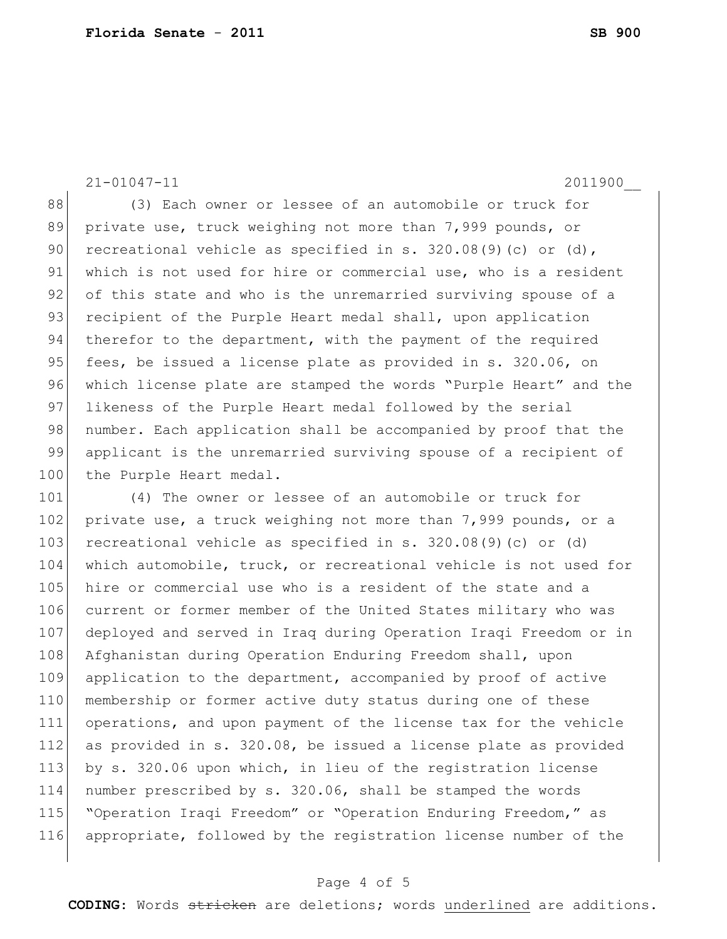21-01047-11 2011900\_\_

88 (3) Each owner or lessee of an automobile or truck for 89 private use, truck weighing not more than 7,999 pounds, or 90 recreational vehicle as specified in s.  $320.08(9)(c)$  or (d), 91 which is not used for hire or commercial use, who is a resident 92 of this state and who is the unremarried surviving spouse of a 93 recipient of the Purple Heart medal shall, upon application 94 therefor to the department, with the payment of the required 95 fees, be issued a license plate as provided in s. 320.06, on 96 which license plate are stamped the words "Purple Heart" and the 97 likeness of the Purple Heart medal followed by the serial 98 | number. Each application shall be accompanied by proof that the 99 applicant is the unremarried surviving spouse of a recipient of 100 the Purple Heart medal.

101 (4) The owner or lessee of an automobile or truck for 102 private use, a truck weighing not more than 7,999 pounds, or a 103 recreational vehicle as specified in s.  $320.08(9)(c)$  or (d) 104 which automobile, truck, or recreational vehicle is not used for 105 hire or commercial use who is a resident of the state and a 106 current or former member of the United States military who was 107 deployed and served in Iraq during Operation Iraqi Freedom or in 108 Afghanistan during Operation Enduring Freedom shall, upon 109 application to the department, accompanied by proof of active 110 membership or former active duty status during one of these 111 operations, and upon payment of the license tax for the vehicle 112 as provided in s. 320.08, be issued a license plate as provided 113 by s. 320.06 upon which, in lieu of the registration license 114 number prescribed by s. 320.06, shall be stamped the words 115 "Operation Iraqi Freedom" or "Operation Enduring Freedom," as 116 appropriate, followed by the registration license number of the

## Page 4 of 5